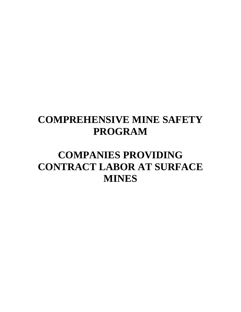# **COMPREHENSIVE MINE SAFETY PROGRAM**

# **COMPANIES PROVIDING CONTRACT LABOR AT SURFACE MINES**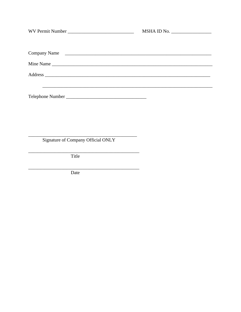|                                    | MSHA ID No. |
|------------------------------------|-------------|
| Company Name                       |             |
|                                    |             |
|                                    |             |
|                                    |             |
| Signature of Company Official ONLY |             |
| Title                              |             |
| Date                               |             |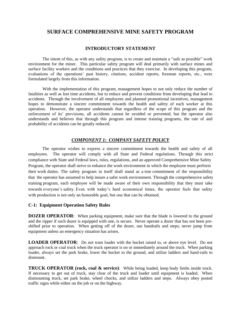# **SURFACE COMPREHENSIVE MINE SAFETY PROGRAM**

# **INTRODUCTORY STATEMENT**

The intent of this, as with any safety program, is to create and maintain a "safe as possible" work environment for the miner. This particular safety program will deal primarily with surface mines and surface facility workers and the conditions and practices that they exercise. In developing this program, evaluations of the operations' past history, citations, accident reports, foreman reports, etc., were formulated largely from this information.

With the implementation of this program, management hopes to not only reduce the number of fatalities as well as lost time accidents, but to reduce and prevent conditions from developing that lead to accidents. Through the involvement of all employees and planned promotional incentives, management hopes to demonstrate a sincere commitment towards the health and safety of each worker at this operation. However, the operator understands that regardless of the scope of this program and the enforcement of its' provisions, all accidents cannot be avoided or prevented, but the operator also understands and believes that through this program and intense training programs, the rate of and probability of accidents can be greatly reduced.

# *COMPONENT 1: COMPANY SAFETY POLICY*

The operator wishes to express a sincere commitment towards the health and safety of all employees. The operator will comply with all State and Federal regulations. Through this strict compliance with State and Federal laws, rules, regulations, and an approved Comprehensive Mine Safety Program, the operator shall strive to enhance the work environment in which the employee must perform their work duties. The safety program in itself shall stand as a true commitment of the responsibility that the operator has assumed to help insure a safer work environment. Through the comprehensive safety training program, each employee will be made aware of their own responsibility that they must take towards everyone's safety. Even with today's hard economical times, the operator feels that safety with production is not only an honorable goal, but one that can be obtained.

# **C-1: Equipment Operation Safety Rules**

**DOZER OPERATOR:** When parking equipment, make sure that the blade is lowered to the ground and the ripper if such dozer is equipped with one, is secure. Never operate a dozer that has not been preshifted prior to operation. When getting off of the dozer, use handrails and steps; never jump from equipment unless an emergency situation has arisen.

**LOADER OPERATOR:** Do not tram loader with the bucket raised to, or above eye level. Do not approach rock or coal truck when the truck operator is on or immediately around the truck. When parking loader, always set the park brake, lower the bucket to the ground, and utilize ladders and hand-rails to dismount.

**TRUCK OPERATOR (rock, coal & service)**: While being loaded, keep body limbs inside truck. If necessary to get out of truck, stay clear of the truck and loader until equipment is loaded. When dismounting truck, set park brake, wheel chocks, and utilize ladders and steps. Always obey posted traffic signs while either on the job or on the highway.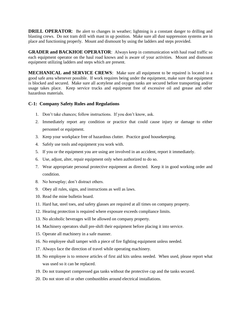**DRILL OPERATOR:** Be alert to changes in weather; lightning is a constant danger to drilling and blasting crews. Do not tram drill with mast in up position. Make sure all dust suppression systems are in place and functioning properly. Mount and dismount by using the ladders and steps provided.

**GRADER and BACKHOE OPERATOR**: Always keep in communication with haul road traffic so each equipment operator on the haul road knows and is aware of your activities. Mount and dismount equipment utilizing ladders and steps which are present.

**MECHANICAL and SERVICE CREWS**: Make sure all equipment to be repaired is located in a good safe area whenever possible. If work requires being under the equipment, make sure that equipment is blocked and secured. Make sure all acetylene and oxygen tanks are secured before transporting and/or usage takes place. Keep service trucks and equipment free of excessive oil and grease and other hazardous materials.

#### **C-1: Company Safety Rules and Regulations**

- 1. Don't take chances; follow instructions. If you don't know, ask.
- 2. Immediately report any condition or practice that could cause injury or damage to either personnel or equipment.
- 3. Keep your workplace free of hazardous clutter. Practice good housekeeping.
- 4. Safely use tools and equipment you work with.
- 5. If you or the equipment you are using are involved in an accident, report it immediately.
- 6. Use, adjust, alter, repair equipment only when authorized to do so.
- 7. Wear appropriate personal protective equipment as directed. Keep it in good working order and condition.
- 8. No horseplay; don't distract others.
- 9. Obey all rules, signs, and instructions as well as laws.
- 10. Read the mine bulletin board.
- 11. Hard hat, steel toes, and safety glasses are required at all times on company property.
- 12. Hearing protection is required where exposure exceeds compliance limits.
- 13. No alcoholic beverages will be allowed on company property.
- 14. Machinery operators shall pre-shift their equipment before placing it into service.
- 15. Operate all machinery in a safe manner.
- 16. No employee shall tamper with a piece of fire fighting equipment unless needed.
- 17. Always face the direction of travel while operating machinery.
- 18. No employee is to remove articles of first aid kits unless needed. When used, please report what was used so it can be replaced.
- 19. Do not transport compressed gas tanks without the protective cap and the tanks secured.
- 20. Do not store oil or other combustibles around electrical installations.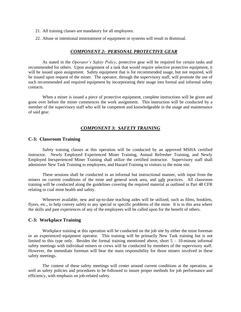- 21. All training classes are mandatory for all employees.
- 22. Abuse or intentional mistreatment of equipment or systems will result in dismissal.

#### *COMPONENT 2: PERSONAL PROTECTIVE GEAR*

As stated in the *Operator's Safety Policy*, protective gear will be required for certain tasks and recommended for others. Upon assignment of a task that would require selective protective equipment, it will be issued upon assignment. Safety equipment that is for recommended usage, but not required, will be issued upon request of the miner. The operator, through the supervisory staff, will promote the use of such recommended and required equipment by incorporating their usage into formal and informal safety contacts.

When a miner is issued a piece of protective equipment, complete instructions will be given and gone over before the miner commences the work assignment. This instruction will be conducted by a member of the supervisory staff who will be competent and knowledgeable in the usage and maintenance of said gear.

#### *COMPONENT 3: SAFETY TRAINING*

#### **C-3: Classroom Training**

Safety training classes at this operation will be conducted by an approved MSHA certified instructor. Newly Employed Experienced Miner Training, Annual Refresher Training, and Newly Employed Inexperienced Miner Training shall utilize the certified instructor. Supervisory staff shall administer New Task Training to employees, and Hazard Training to visitors to the mine site.

These sessions shall be conducted in an informal but instructional manner, with input from the miners on current conditions of the mine and general work area, and safe practices. All classroom training will be conducted along the guidelines covering the required material as outlined in Part 48 CFR relating to coal mine health and safety.

Whenever available, new and up-to-date teaching aides will be utilized, such as films, booklets, flyers, etc., to help convey safety to any special or specific problems of the mine. It is in this area where the skills and past experiences of any of the employees will be called upon for the benefit of others.

#### **C-3: Workplace Training**

Workplace training at this operation will be conducted on the job site by either the mine foreman or an experienced equipment operator. This training will be primarily New Task training but is not limited to this type only. Besides the formal training mentioned above, short  $5 - 10$ -minute informal safety meetings with individual miners or crews will be conducted by members of the supervisory staff. However, the immediate foreman will bear the main responsibility for those miners involved in these safety meetings.

The content of these safety meetings will center around current conditions at the operation, as well as safety policies and procedures to be followed to insure proper methods for job performance and efficiency, with emphasis on job-related safety.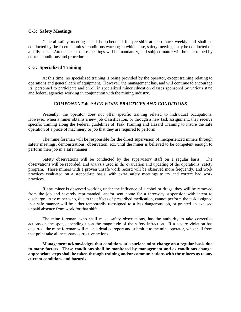#### **C-3: Safety Meetings**

General safety meetings shall be scheduled for pre-shift at least once weekly and shall be conducted by the foreman unless conditions warrant; in which case, safety meetings may be conducted on a daily basis. Attendance at these meetings will be mandatory, and subject matter will be determined by current conditions and procedures.

#### **C-3: Specialized Training**

At this time, no specialized training is being provided by the operator, except training relating to operations and general care of equipment. However, the management has, and will continue to encourage its' personnel to participate and enroll in specialized miner education classes sponsored by various state and federal agencies working in conjunction with the mining industry.

#### *COMPONENT 4: SAFE WORK PRACTICES AND CONDITIONS*

Presently, the operator does not offer specific training related to individual occupations. However, when a miner obtains a new job classification, or through a new task assignment, they receive specific training along the Federal guidelines of Task Training and Hazard Training to insure the safe operation of a piece of machinery or job that they are required to perform.

The mine foreman will be responsible for the direct supervision of inexperienced miners through safety meetings, demonstrations, observation, etc. until the miner is believed to be competent enough to perform their job in a safe manner.

Safety observations will be conducted by the supervisory staff on a regular basis. The observations will be recorded, and analysis used in the evaluation and updating of the operations' safety program. Those miners with a proven unsafe work record will be observed more frequently, and work practices evaluated on a stepped-up basis, with extra safety meetings to try and correct bad work practices.

If any miner is observed working under the influence of alcohol or drugs, they will be removed from the job and severely reprimanded, and/or sent home for a three-day suspension with intent to discharge. Any miner who, due to the effects of prescribed medication, cannot perform the task assigned in a safe manner will be either temporarily reassigned to a less dangerous job, or granted an excused unpaid absence from work for that shift.

The mine foreman, who shall make safety observations, has the authority to take corrective actions on the spot, depending upon the magnitude of the safety infraction. If a severe violation has occurred, the mine foreman will make a detailed report and submit it to the mine operator, who shall from that point take all necessary corrective actions.

**Management acknowledges that conditions at a surface mine change on a regular basis due to many factors. These conditions shall be monitored by management and as conditions change, appropriate steps shall be taken through training and/or communications with the miners as to any current conditions and hazards.**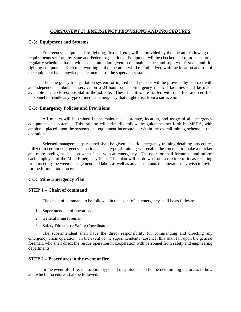# *COMPONENT 5: EMERGENCY PROVISIONS AND PROCEDURES*

#### **C-5: Equipment and Systems**

Emergency equipment, fire fighting, first aid, etc., will be provided by the operator following the requirements set forth by State and Federal regulations. Equipment will be checked and refurbished on a regularly scheduled basis, with special attention given to the maintenance and supply of first aid and fire fighting equipment. Each man working at the operation will be familiarized with the location and use of the equipment by a knowledgeable member of the supervisory staff.

The emergency transportation system for injured or ill persons will be provided by contract with an independent ambulance service on a 24-hour basis. Emergency medical facilities shall be made available at the closest hospital to the job site. These facilities are staffed with qualified and certified personnel to handle any type of medical emergency that might arise from a surface mine.

#### **C-5: Emergency Policies and Provisions**

All miners will be trained in the maintenance, storage, location, and usage of all emergency equipment and systems. This training will primarily follow the guidelines set forth by MSHA, with emphasis placed upon the systems and equipment incorporated within the overall mining scheme at this operation.

Selected management personnel shall be given specific emergency training detailing procedures utilized in certain emergency situations. This type of training will enable the foreman to make a quicker and more intelligent decision when faced with an emergency. The operator shall formulate and inform each employee of the Mine Emergency Plan. This plan will be drawn from a mixture of ideas resulting from meetings between management and labor, as well as any consultants the operator may wish to invite for the formulation process.

# **C-5: Mine Emergency Plan**

#### **STEP 1 – Chain of command**

The chain of command to be followed in the event of an emergency shall be as follows:

- 1. Superintendent of operations
- 2. General mine foreman
- 3. Safety Director or Safety Coordinator

The superintendent shall have the direct responsibility for commanding and directing any emergency crisis operation. In the event of the superintendents' absence, this shall fall upon the general foreman, who shall direct the rescue operation in cooperation with personnel from safety and engineering departments.

# **STEP 2 – Procedures in the event of fire**

In the event of a fire, its location, type and magnitude shall be the determining factors as to how and which procedures shall be followed.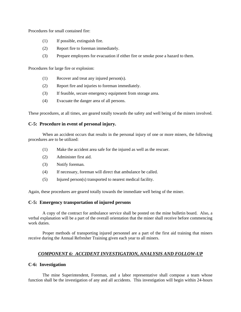Procedures for small contained fire:

- (1) If possible, extinguish fire.
- (2) Report fire to foreman immediately.
- (3) Prepare employees for evacuation if either fire or smoke pose a hazard to them.

Procedures for large fire or explosion:

- (1) Recover and treat any injured person(s).
- (2) Report fire and injuries to foreman immediately.
- (3) If feasible, secure emergency equipment from storage area.
- (4) Evacuate the danger area of all persons.

These procedures, at all times, are geared totally towards the safety and well being of the miners involved.

# **C-5: Procedure in event of personal injury.**

When an accident occurs that results in the personal injury of one or more miners, the following procedures are to be utilized:

- (1) Make the accident area safe for the injured as well as the rescuer.
- (2) Administer first aid.
- (3) Notify foreman.
- (4) If necessary, foreman will direct that ambulance be called.
- (5) Injured person(s) transported to nearest medical facility.

Again, these procedures are geared totally towards the immediate well being of the miner.

# **C-5: Emergency transportation of injured persons**

A copy of the contract for ambulance service shall be posted on the mine bulletin board. Also, a verbal explanation will be a part of the overall orientation that the miner shall receive before commencing work duties.

Proper methods of transporting injured personnel are a part of the first aid training that miners receive during the Annual Refresher Training given each year to all miners.

# *COMPONENT 6: ACCIDENT INVESTIGATION, ANALYSIS AND FOLLOW-UP*

# **C-6: Investigation**

The mine Superintendent, Foreman, and a labor representative shall compose a team whose function shall be the investigation of any and all accidents. This investigation will begin within 24-hours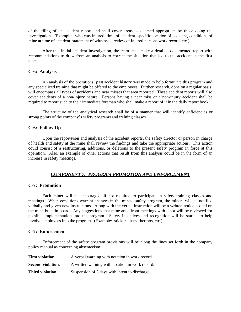of the filing of an accident report and shall cover areas as deemed appropriate by those doing the investigation. (Example: who was injured, time of accident, specific location of accident, conditions of mine at time of accident, statement of witnesses, review of injured persons work record, etc.)

After this initial accident investigation, the team shall make a detailed documented report with recommendations to draw from an analysis to correct the situation that led to the accident in the first place.

#### **C-6: Analysis**

An analysis of the operations' past accident history was made to help formulate this program and any specialized training that might be offered to the employees. Further research, done on a regular basis, will encompass all types of accidents and near misses that area reported. These accident reports will also cover accidents of a non-injury nature. Persons having a near miss or a non-injury accident shall be required to report such to their immediate foreman who shall make a report of it in the daily report book.

The structure of the analytical research shall be of a manner that will identify deficiencies or strong points of the company's safety programs and training classes.

# **C-6: Follow-Up**

Upon the reportation and analysis of the accident reports, the safety director or person in charge of health and safety at the mine shall review the findings and take the appropriate actions. This action could consist of a restructuring, additions, or deletions to the present safety program in force at this operation. Also, an example of other actions that result from this analysis could be in the form of an increase in safety meetings.

# *COMPONENT 7: PROGRAM PROMOTION AND ENFORCEMENT*

#### **C-7: Promotion**

Each miner will be encouraged, if not required to participate in safety training classes and meetings. When conditions warrant changes in the mines' safety program, the miners will be notified verbally and given new instructions. Along with the verbal instruction will be a written notice posted on the mine bulletin board. Any suggestions that mine arise from meetings with labor will be reviewed for possible implementation into the program. Safety incentives and recognition will be started to help involve employees into the program. (Example: stickers, hats, thermos, etc.)

#### **C-7: Enforcement**

Enforcement of the safety program provisions will be along the lines set forth in the company policy manual as concerning absenteeism.

| <b>First violation:</b>  | A verbal warning with notation in work record.  |
|--------------------------|-------------------------------------------------|
| <b>Second violation:</b> | A written warning with notation in work record. |
| Third violation:         | Suspension of 3 days with intent to discharge.  |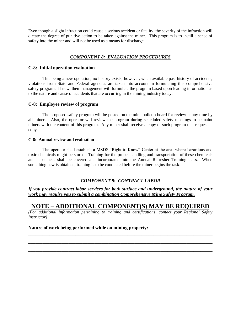Even though a slight infraction could cause a serious accident or fatality, the severity of the infraction will dictate the degree of punitive action to be taken against the miner. This program is to instill a sense of safety into the miner and will not be used as a means for discharge.

# *COMPONENT 8: EVALUATION PROCEDURES*

#### **C-8: Initial operation evaluation**

This being a new operation, no history exists; however, when available past history of accidents, violations from State and Federal agencies are taken into account in formulating this comprehensive safety program. If new, then management will formulate the program based upon leading information as to the nature and cause of accidents that are occurring in the mining industry today.

#### **C-8: Employee review of program**

The proposed safety program will be posted on the mine bulletin board for review at any time by all miners. Also, the operator will review the program during scheduled safety meetings to acquaint miners with the content of this program. Any miner shall receive a copy of such program thar requests a copy.

#### **C-8: Annual review and evaluation**

The operator shall establish a MSDS "Right-to-Know" Center at the area where hazardous and toxic chemicals might be stored. Training for the proper handling and transportation of these chemicals and substances shall be covered and incorporated into the Annual Refresher Training class. When something new is obtained, training is to be conducted before the miner begins the task.

# *COMPONENT 9: CONTRACT LABOR*

*If you provide contract labor services for both surface and underground, the nature of your work may require you to submit a combination Comprehensive Mine Safety Program.*

# **NOTE – ADDITIONAL COMPONENT(S) MAY BE REQUIRED**

*(For additional information pertaining to training and certifications, contact your Regional Safety Instructor)*

**\_\_\_\_\_\_\_\_\_\_\_\_\_\_\_\_\_\_\_\_\_\_\_\_\_\_\_\_\_\_\_\_\_\_\_\_\_\_\_\_\_\_\_\_\_\_\_\_\_\_\_\_\_\_\_\_\_\_\_\_\_\_\_\_\_\_\_\_\_\_\_\_\_\_\_\_\_\_**

**\_\_\_\_\_\_\_\_\_\_\_\_\_\_\_\_\_\_\_\_\_\_\_\_\_\_\_\_\_\_\_\_\_\_\_\_\_\_\_\_\_\_\_\_\_\_\_\_\_\_\_\_\_\_\_\_\_\_\_\_\_\_\_\_\_\_\_\_\_\_\_\_\_\_\_\_\_\_**

**\_\_\_\_\_\_\_\_\_\_\_\_\_\_\_\_\_\_\_\_\_\_\_\_\_\_\_\_\_\_\_\_\_\_\_\_\_\_\_\_\_\_\_\_\_\_\_\_\_\_\_\_\_\_\_\_\_\_\_\_\_\_\_\_\_\_\_\_\_\_\_\_\_\_\_\_\_\_**

# **Nature of work being performed while on mining property:**